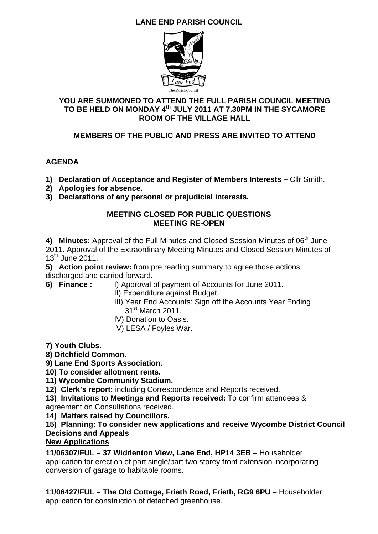# **LANE END PARISH COUNCIL**



## **YOU ARE SUMMONED TO ATTEND THE FULL PARISH COUNCIL MEETING TO BE HELD ON MONDAY 4th JULY 2011 AT 7.30PM IN THE SYCAMORE ROOM OF THE VILLAGE HALL**

## **MEMBERS OF THE PUBLIC AND PRESS ARE INVITED TO ATTEND**

## **AGENDA**

- **1) Declaration of Acceptance and Register of Members Interests** Cllr Smith.
- **2) Apologies for absence.**
- **3) Declarations of any personal or prejudicial interests.**

#### **MEETING CLOSED FOR PUBLIC QUESTIONS MEETING RE-OPEN**

4) Minutes: Approval of the Full Minutes and Closed Session Minutes of 06<sup>th</sup> June 2011. Approval of the Extraordinary Meeting Minutes and Closed Session Minutes of  $13<sup>th</sup>$  June 2011.

**5) Action point review:** from pre reading summary to agree those actions discharged and carried forward**.** 

- **6) Finance :** I) Approval of payment of Accounts for June 2011.
	- II) Expenditure against Budget.
	- III) Year End Accounts: Sign off the Accounts Year Ending  $31<sup>st</sup>$  March 2011.
	- IV) Donation to Oasis.
	- V) LESA / Foyles War.
- **7) Youth Clubs.**

## **8) Ditchfield Common.**

**9) Lane End Sports Association.** 

## **10) To consider allotment rents.**

- **11) Wycombe Community Stadium.**
- **12) Clerk's report:** including Correspondence and Reports received.
- **13) Invitations to Meetings and Reports received:** To confirm attendees & agreement on Consultations received.
- **14) Matters raised by Councillors.**

## **15) Planning: To consider new applications and receive Wycombe District Council Decisions and Appeals**

#### **New Applications**

**11/06307/FUL – 37 Widdenton View, Lane End, HP14 3EB –** Householder application for erection of part single/part two storey front extension incorporating conversion of garage to habitable rooms.

**11/06427/FUL – The Old Cottage, Frieth Road, Frieth, RG9 6PU –** Householder application for construction of detached greenhouse.